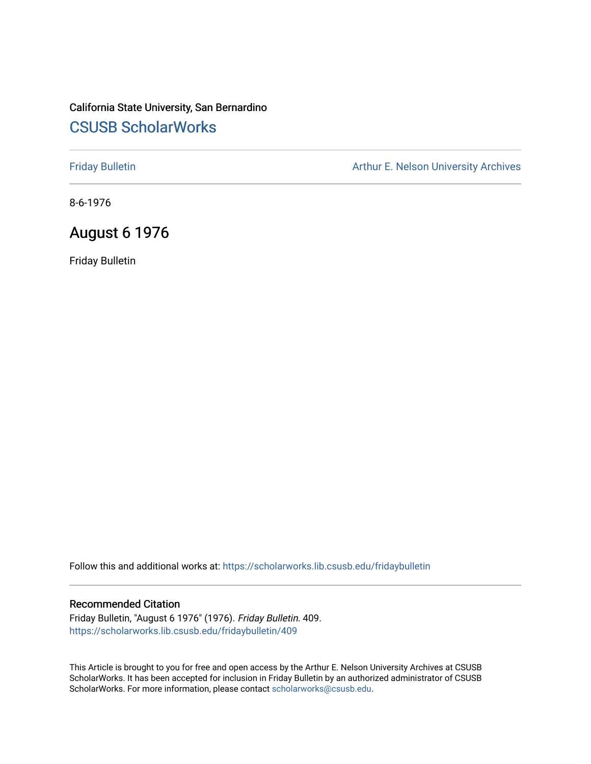# California State University, San Bernardino [CSUSB ScholarWorks](https://scholarworks.lib.csusb.edu/)

[Friday Bulletin](https://scholarworks.lib.csusb.edu/fridaybulletin) **Arthur E. Nelson University Archives** Arthur E. Nelson University Archives

8-6-1976

## August 6 1976

Friday Bulletin

Follow this and additional works at: [https://scholarworks.lib.csusb.edu/fridaybulletin](https://scholarworks.lib.csusb.edu/fridaybulletin?utm_source=scholarworks.lib.csusb.edu%2Ffridaybulletin%2F409&utm_medium=PDF&utm_campaign=PDFCoverPages)

### Recommended Citation

Friday Bulletin, "August 6 1976" (1976). Friday Bulletin. 409. [https://scholarworks.lib.csusb.edu/fridaybulletin/409](https://scholarworks.lib.csusb.edu/fridaybulletin/409?utm_source=scholarworks.lib.csusb.edu%2Ffridaybulletin%2F409&utm_medium=PDF&utm_campaign=PDFCoverPages)

This Article is brought to you for free and open access by the Arthur E. Nelson University Archives at CSUSB ScholarWorks. It has been accepted for inclusion in Friday Bulletin by an authorized administrator of CSUSB ScholarWorks. For more information, please contact [scholarworks@csusb.edu.](mailto:scholarworks@csusb.edu)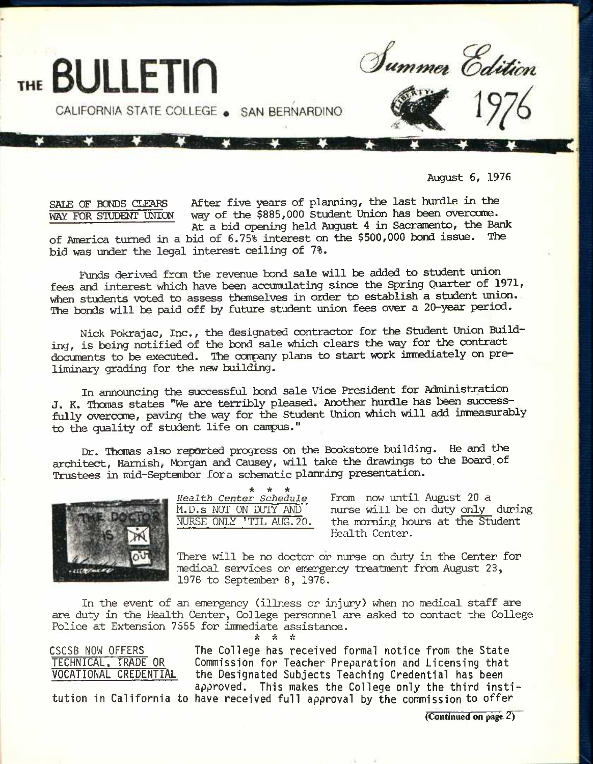

August 6, 1976

SALE OF BONDS CLEARS After five years of planning, the last hurdle in the<br>WAY FOR STUDENT UNION way of the \$885,000 Student Union has been overcome. way of the \$885,000 Student Union has been overcome. At a bid opening held August 4 in Sacramento, the Bank

of America turned in a bid of 6.75% interest on the \$500,000 bond issue. The bid was under the legal interest ceiling of 7%.

Funds derived from the revenue bond sale will be added to student union fees and interest which have been accumulating since the Spring Quarter of 1971, when students voted to assess themselves in order to establish a student union. The bonds will be paid off by future student union fees over a 20-year period.

Nick Pokrajac, Inc., the designated contractor for the Student Union Building, is being notified of the bond sale which clears the way for the contract documents to be executed. The company plans to start work immediately on preliminary grading for the new building.

In announcing the successful bond sale Vice President for Administration J. K. Thcmas states "We are terribly pleased. Another hurdle has been successfully overcome, paving the way for the Student Union which will add immeasurably to the quality of student life on campus."

Dr. Thomas also reported progress on the Bookstore building. He and the architect, Hamish, Morgan and Causey, will take the drawings to the Board, of Trustees in mid-September for a schematic planring presentation.



**\* \* \***  *Health* Center *Schedule* From now until August 20 a

M.D.s NOT ON DUTY AND I nurse will be on duty only during<br>NURSE ONLY 'TIL AUG.20. the morning hours at the Student the morning hours at the Student Health Center.

There will be no doctor or nurse on duty in the Center for medical services or emergency treatment from August 23, 1976 to September 8, 1976.

In the event of an emergency (illness or injury) when no medical staff are are duty in the Health Center, College personnel are asked to contact the College Police at Extension 7555 for inmediate assistance. *•k ^ it* 

**CSCSB NOW OFFERS TECHNICAL. TRADE OR VOCATIONAL CREDENTIAL**  **The College has received formal notice from the State Commission for Teacher Preparation and Licensing that the Designated Subjects Teaching Credential has been approved. This makes the College only the third insti-**

**tution in California to have received full approval by the commission to offer** 

(Continued on page 2)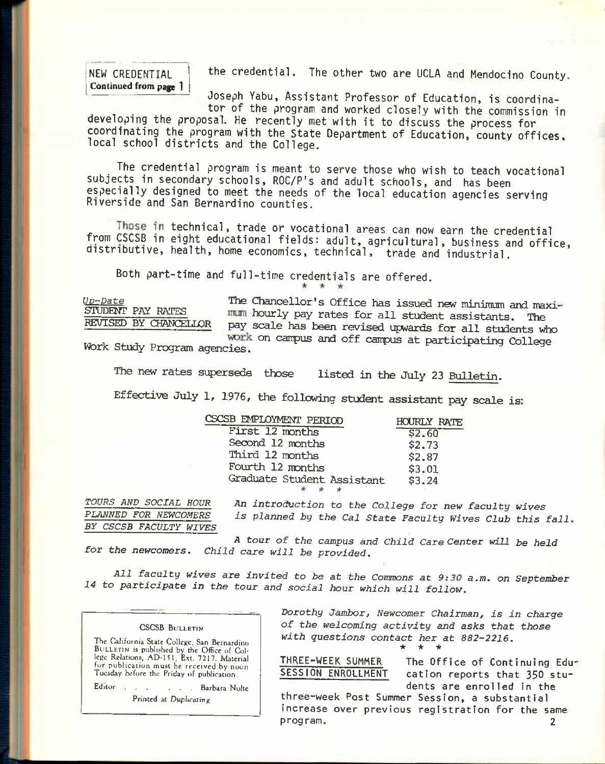**NEW CREDENTIAL**  Continued from **page 1**  **the credential. The other two are UCLA and Mendocino County** 

**Joseph Yabu, Assistant Professor of Education, is coordinator of the program and worked closely with the commission in** 

developing the proposal. He recently met with it to discuss the process for **coordinating the program with the State Department of Education, county offices, local school districts and the College.** 

**The credential program is meant to serve those who wish to teach vocational subjects in secondary schools, ROC/P's and adult schools, and has been especially designed to meet the needs of the local education agencies serving Riverside and San Bernardino counties.** 

Those in technical, trade or vocational areas can now earn the credential **from CSCSB in eight educational fields: adult, agricultural, business and office, distributive, health, home economics, technical, trade and industrial.** 

**Both part-time and full-time credentials are offered.** 

 $\mathcal{R}^{\prime}$ 

*Uv-Date*  STUDENT PAY RATES

The Chancellor's Office has issued new minimum and maxi- STUDENT PAY RATES and hourly pay rates for all student assistants. The REVISED BY CHANCELLOR pay scale has been revised upwards for all students. REVISED BY CHANCEIim pay scale has been revised upwards for all students *viho*  work on campus and off campus at participating College Work Study Program agencies.

The new rates supersede those listed in the July 23 Bulletin.

Effective July 1, 1976, the following student assistant pay scale is:

| SCSB EMPLOYMENT PERIOD     | <b>HOURLY RATE</b> |
|----------------------------|--------------------|
| First 12 months            | \$2.60             |
| Second 12 months           | \$2,73             |
| Third 12 months            | \$2.87             |
| Fourth 12 months           | \$3.01             |
|                            | \$3,24             |
|                            |                    |
| Graduate Student Assistant |                    |

*TOURS AND SOCIAL HOUR PLANNED FOR NEWCOMERS BY CSCSB FACULTY WIVES* 

*An introduction to the College for new faculty wives is planned by the Cal State Faculty Wives Club this fall* 

*for the newcomers. Child care will be provided. A tour of the campus and Child Care Center will be held* 

*All faculty wives are invited to be at the Commons at 9:30 a.m. on September 14 to participate in the tour and social hour which will follow.* 

| <b>CSCSB BULLETIN</b>                                                                                                                                                                                                               |
|-------------------------------------------------------------------------------------------------------------------------------------------------------------------------------------------------------------------------------------|
| The California State College, San Bernardino<br>BULLETIN is published by the Office of Col-<br>lege Relations, AD-151, Ext. 7217. Material<br>for publication must be received by noon<br>Tuesday before the Friday of publication. |
| Editor Barbara Nolte                                                                                                                                                                                                                |

Printed at Duplicating

*Dorothy Jambor, Newcomer Chairman, is in charge of the welcoming activity and asks that those with questions contact her at 882-2216.*  • \* \*

THREE-WEEK SUMMER The Office of Continuing Education reports that 350 students are enrolled in the

three-week Post Summer Session, a substantial increase over previous registration for the same program. 2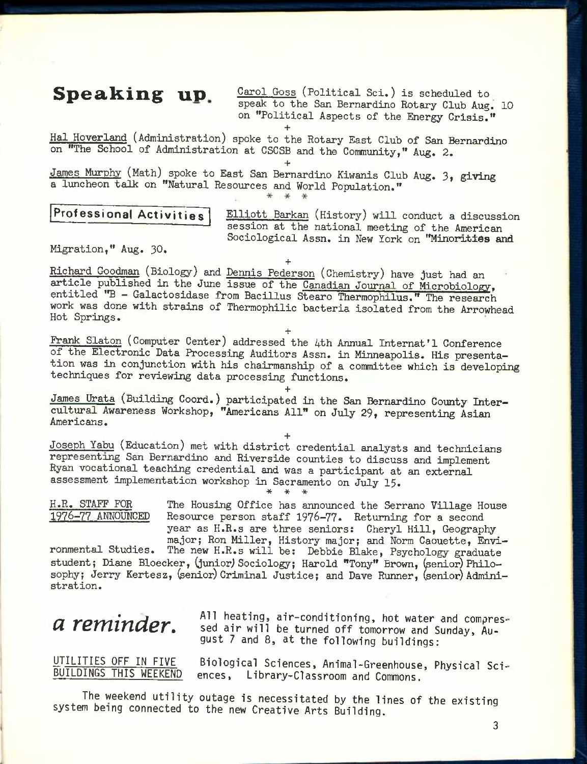**Speaking up** Carol Goss (Political Sci.) is scheduled to speak to the San Bernardino Rotary Club Aug. 10 on "Political Aspects of the Energy Crisis." **+** 

Hal Hoverland (Administration) spoke to the Rotary East Club of San Bernardino on "The School of Administration at CSCSB and the Community," Aug, 2.

**+**  James Murphy (Math) spoke to East San Bernardino Kiwanis Club Aug. 3, giving a luncheon talk on "Natural Resources and World Population."

\* \*

**Professional Activities Elliott Barkan** (History) will conduct a discussion session at the national meeting of the American Sociological Assn. in New York on "Minorities and

Migration," Aug. 30.

**+**  Richard Goodman (Biology) and Dennis Pederson (Chemistry) have just had an article published in the June issue of the Canadian Journal of Microbiology, entitled "B - Galactosidase from Bacillus Stearo Therraophilus." The research work was done with strains of Thermophilic bacteria isolated from the Arrowhead Hot Springs.

**+**  Frank Slaton (Computer Center) addressed the 4th Annual Internat'l Conference of the Electronic Data Processing Auditors Assn. in Minneapolis. His presentation was in conjunction with his chairmanship of a committee which is developing techniques for reviewing data processing functions.

**+**  James Urata (Building Coord.) participated in the San Bernardino County Intercultural Awareness Workshop, "Americans All" on July 29, representing Asian Americans.

**+**  Joseph Yabu (Education) met with district credential analysts and technicians representing San Bernardino and Riverside counties to discuss and implement Ryan vocational teaching credential and was a participant at an external assessment implementation workshop in Sacramento on July 15. **\* \* \*** 

H.R. STAFF FOR The Housing Office has announced the Serrano Village House<br>1976–77 ANNOUNCED Resource person staff 1976–77. Returning for a second Resource person staff 1976-77. Returning for a second year as H.R.s are three seniors: Cheryl Hill, Geography major; Ron Miller, History major; and Norm Caouette, Envi-

ronmental Studies. The new H.R.s will be: Debbie Blake, Psychology graduate student; Diane Bloecker, (junior) Sociology; Harold "Tony" Brown, (senior) Philosophy; Jerry Kertesz, (senior) Criminal Justice; and Dave Runner, (senior) Administration.

*a* reminder. All heating, air-conditioning, hot water and compres-<br> **a** reminder. Sed air will be turned off tomorrow and Sunday, Au**gust 7 and 8, at the following buildings:** 

UT<u>ILITIES OFF IN FIVE</u> Biological Sciences, Animal-Greenhouse, Physical Sci-L<br>BUILDINGS THIS WEEKEND ences, Library-Classroom and Commons ences, Library-Classroom and Commons.

**The weekend utility outage is necessitated by the lines of the existing system being connected to the new Creative Arts Building.**